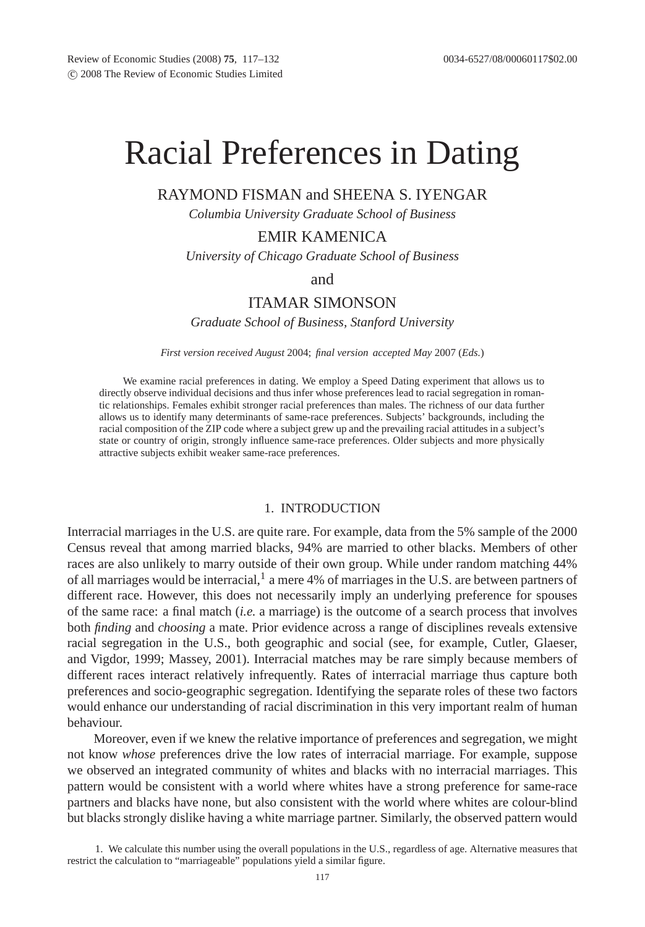# Racial Preferences in Dating

## RAYMOND FISMAN and SHEENA S. IYENGAR

*Columbia University Graduate School of Business*

## EMIR KAMENICA

*University of Chicago Graduate School of Business*

and

## ITAMAR SIMONSON

*Graduate School of Business, Stanford University*

*First version received August* 2004; *final version accepted May* 2007 (*Eds.*)

We examine racial preferences in dating. We employ a Speed Dating experiment that allows us to directly observe individual decisions and thus infer whose preferences lead to racial segregation in romantic relationships. Females exhibit stronger racial preferences than males. The richness of our data further allows us to identify many determinants of same-race preferences. Subjects' backgrounds, including the racial composition of the ZIP code where a subject grew up and the prevailing racial attitudes in a subject's state or country of origin, strongly influence same-race preferences. Older subjects and more physically attractive subjects exhibit weaker same-race preferences.

#### 1. INTRODUCTION

Interracial marriages in the U.S. are quite rare. For example, data from the 5% sample of the 2000 Census reveal that among married blacks, 94% are married to other blacks. Members of other races are also unlikely to marry outside of their own group. While under random matching 44% of all marriages would be interracial, $<sup>1</sup>$  a mere 4% of marriages in the U.S. are between partners of</sup> different race. However, this does not necessarily imply an underlying preference for spouses of the same race: a final match (*i.e.* a marriage) is the outcome of a search process that involves both *finding* and *choosing* a mate. Prior evidence across a range of disciplines reveals extensive racial segregation in the U.S., both geographic and social (see, for example, Cutler, Glaeser, and Vigdor, 1999; Massey, 2001). Interracial matches may be rare simply because members of different races interact relatively infrequently. Rates of interracial marriage thus capture both preferences and socio-geographic segregation. Identifying the separate roles of these two factors would enhance our understanding of racial discrimination in this very important realm of human behaviour.

Moreover, even if we knew the relative importance of preferences and segregation, we might not know *whose* preferences drive the low rates of interracial marriage. For example, suppose we observed an integrated community of whites and blacks with no interracial marriages. This pattern would be consistent with a world where whites have a strong preference for same-race partners and blacks have none, but also consistent with the world where whites are colour-blind but blacks strongly dislike having a white marriage partner. Similarly, the observed pattern would

<sup>1.</sup> We calculate this number using the overall populations in the U.S., regardless of age. Alternative measures that restrict the calculation to "marriageable" populations yield a similar figure.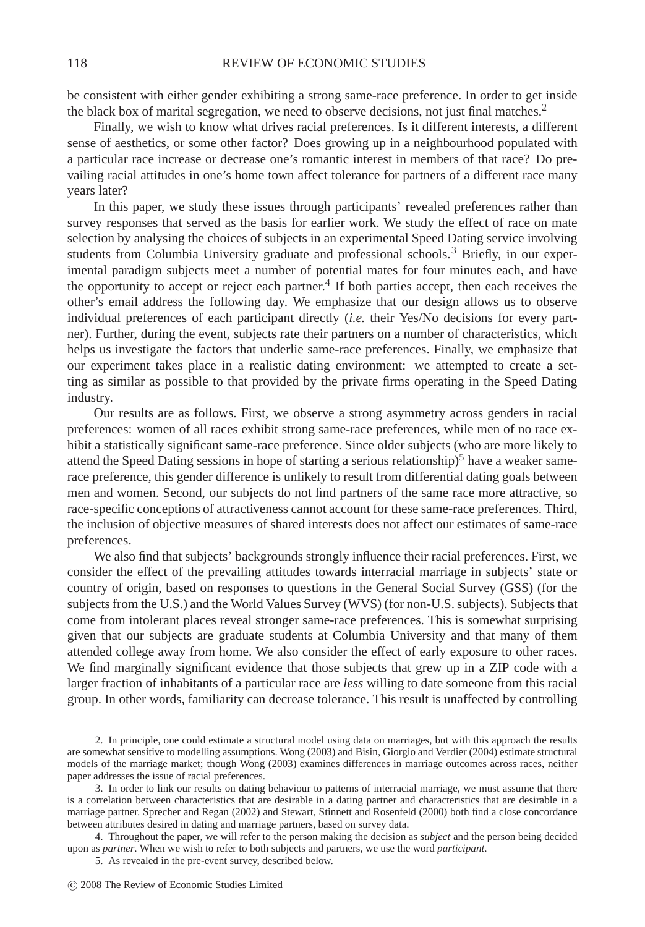be consistent with either gender exhibiting a strong same-race preference. In order to get inside the black box of marital segregation, we need to observe decisions, not just final matches.<sup>2</sup>

Finally, we wish to know what drives racial preferences. Is it different interests, a different sense of aesthetics, or some other factor? Does growing up in a neighbourhood populated with a particular race increase or decrease one's romantic interest in members of that race? Do prevailing racial attitudes in one's home town affect tolerance for partners of a different race many years later?

In this paper, we study these issues through participants' revealed preferences rather than survey responses that served as the basis for earlier work. We study the effect of race on mate selection by analysing the choices of subjects in an experimental Speed Dating service involving students from Columbia University graduate and professional schools.<sup>3</sup> Briefly, in our experimental paradigm subjects meet a number of potential mates for four minutes each, and have the opportunity to accept or reject each partner.<sup>4</sup> If both parties accept, then each receives the other's email address the following day. We emphasize that our design allows us to observe individual preferences of each participant directly (*i.e.* their Yes/No decisions for every partner). Further, during the event, subjects rate their partners on a number of characteristics, which helps us investigate the factors that underlie same-race preferences. Finally, we emphasize that our experiment takes place in a realistic dating environment: we attempted to create a setting as similar as possible to that provided by the private firms operating in the Speed Dating industry.

Our results are as follows. First, we observe a strong asymmetry across genders in racial preferences: women of all races exhibit strong same-race preferences, while men of no race exhibit a statistically significant same-race preference. Since older subjects (who are more likely to attend the Speed Dating sessions in hope of starting a serious relationship)<sup>5</sup> have a weaker samerace preference, this gender difference is unlikely to result from differential dating goals between men and women. Second, our subjects do not find partners of the same race more attractive, so race-specific conceptions of attractiveness cannot account for these same-race preferences. Third, the inclusion of objective measures of shared interests does not affect our estimates of same-race preferences.

We also find that subjects' backgrounds strongly influence their racial preferences. First, we consider the effect of the prevailing attitudes towards interracial marriage in subjects' state or country of origin, based on responses to questions in the General Social Survey (GSS) (for the subjects from the U.S.) and the World Values Survey (WVS) (for non-U.S. subjects). Subjects that come from intolerant places reveal stronger same-race preferences. This is somewhat surprising given that our subjects are graduate students at Columbia University and that many of them attended college away from home. We also consider the effect of early exposure to other races. We find marginally significant evidence that those subjects that grew up in a ZIP code with a larger fraction of inhabitants of a particular race are *less* willing to date someone from this racial group. In other words, familiarity can decrease tolerance. This result is unaffected by controlling

4. Throughout the paper, we will refer to the person making the decision as *subject* and the person being decided upon as *partner*. When we wish to refer to both subjects and partners, we use the word *participant*.

5. As revealed in the pre-event survey, described below.

<sup>2.</sup> In principle, one could estimate a structural model using data on marriages, but with this approach the results are somewhat sensitive to modelling assumptions. Wong (2003) and Bisin, Giorgio and Verdier (2004) estimate structural models of the marriage market; though Wong (2003) examines differences in marriage outcomes across races, neither paper addresses the issue of racial preferences.

<sup>3.</sup> In order to link our results on dating behaviour to patterns of interracial marriage, we must assume that there is a correlation between characteristics that are desirable in a dating partner and characteristics that are desirable in a marriage partner. Sprecher and Regan (2002) and Stewart, Stinnett and Rosenfeld (2000) both find a close concordance between attributes desired in dating and marriage partners, based on survey data.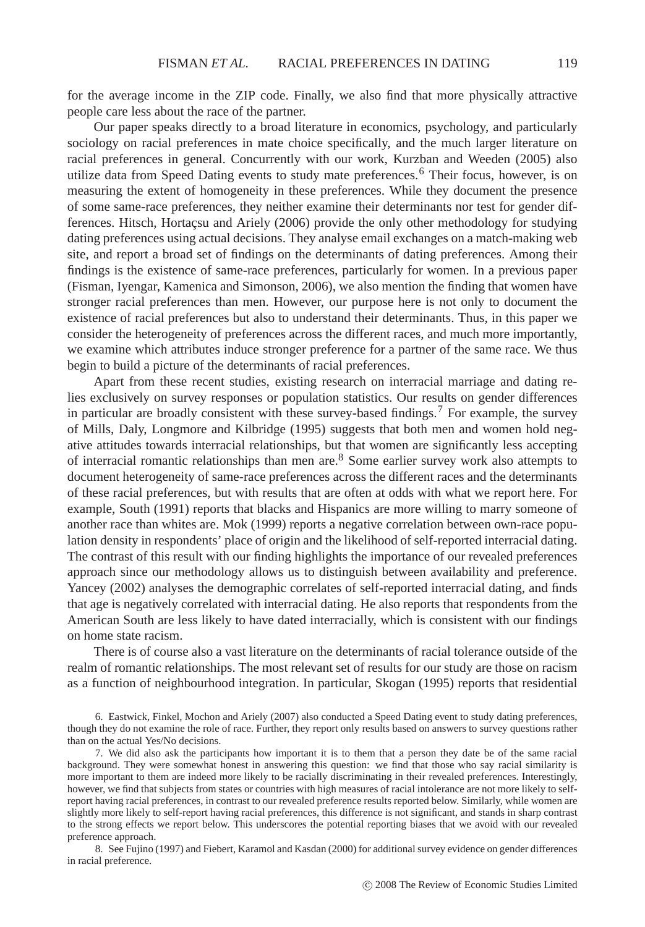for the average income in the ZIP code. Finally, we also find that more physically attractive people care less about the race of the partner.

Our paper speaks directly to a broad literature in economics, psychology, and particularly sociology on racial preferences in mate choice specifically, and the much larger literature on racial preferences in general. Concurrently with our work, Kurzban and Weeden (2005) also utilize data from Speed Dating events to study mate preferences.<sup>6</sup> Their focus, however, is on measuring the extent of homogeneity in these preferences. While they document the presence of some same-race preferences, they neither examine their determinants nor test for gender differences. Hitsch, Hortaçsu and Ariely (2006) provide the only other methodology for studying dating preferences using actual decisions. They analyse email exchanges on a match-making web site, and report a broad set of findings on the determinants of dating preferences. Among their findings is the existence of same-race preferences, particularly for women. In a previous paper (Fisman, Iyengar, Kamenica and Simonson, 2006), we also mention the finding that women have stronger racial preferences than men. However, our purpose here is not only to document the existence of racial preferences but also to understand their determinants. Thus, in this paper we consider the heterogeneity of preferences across the different races, and much more importantly, we examine which attributes induce stronger preference for a partner of the same race. We thus begin to build a picture of the determinants of racial preferences.

Apart from these recent studies, existing research on interracial marriage and dating relies exclusively on survey responses or population statistics. Our results on gender differences in particular are broadly consistent with these survey-based findings.<sup>7</sup> For example, the survey of Mills, Daly, Longmore and Kilbridge (1995) suggests that both men and women hold negative attitudes towards interracial relationships, but that women are significantly less accepting of interracial romantic relationships than men are.<sup>8</sup> Some earlier survey work also attempts to document heterogeneity of same-race preferences across the different races and the determinants of these racial preferences, but with results that are often at odds with what we report here. For example, South (1991) reports that blacks and Hispanics are more willing to marry someone of another race than whites are. Mok (1999) reports a negative correlation between own-race population density in respondents' place of origin and the likelihood of self-reported interracial dating. The contrast of this result with our finding highlights the importance of our revealed preferences approach since our methodology allows us to distinguish between availability and preference. Yancey (2002) analyses the demographic correlates of self-reported interracial dating, and finds that age is negatively correlated with interracial dating. He also reports that respondents from the American South are less likely to have dated interracially, which is consistent with our findings on home state racism.

There is of course also a vast literature on the determinants of racial tolerance outside of the realm of romantic relationships. The most relevant set of results for our study are those on racism as a function of neighbourhood integration. In particular, Skogan (1995) reports that residential

6. Eastwick, Finkel, Mochon and Ariely (2007) also conducted a Speed Dating event to study dating preferences, though they do not examine the role of race. Further, they report only results based on answers to survey questions rather than on the actual Yes/No decisions.

7. We did also ask the participants how important it is to them that a person they date be of the same racial background. They were somewhat honest in answering this question: we find that those who say racial similarity is more important to them are indeed more likely to be racially discriminating in their revealed preferences. Interestingly, however, we find that subjects from states or countries with high measures of racial intolerance are not more likely to selfreport having racial preferences, in contrast to our revealed preference results reported below. Similarly, while women are slightly more likely to self-report having racial preferences, this difference is not significant, and stands in sharp contrast to the strong effects we report below. This underscores the potential reporting biases that we avoid with our revealed preference approach.

8. See Fujino (1997) and Fiebert, Karamol and Kasdan (2000) for additional survey evidence on gender differences in racial preference.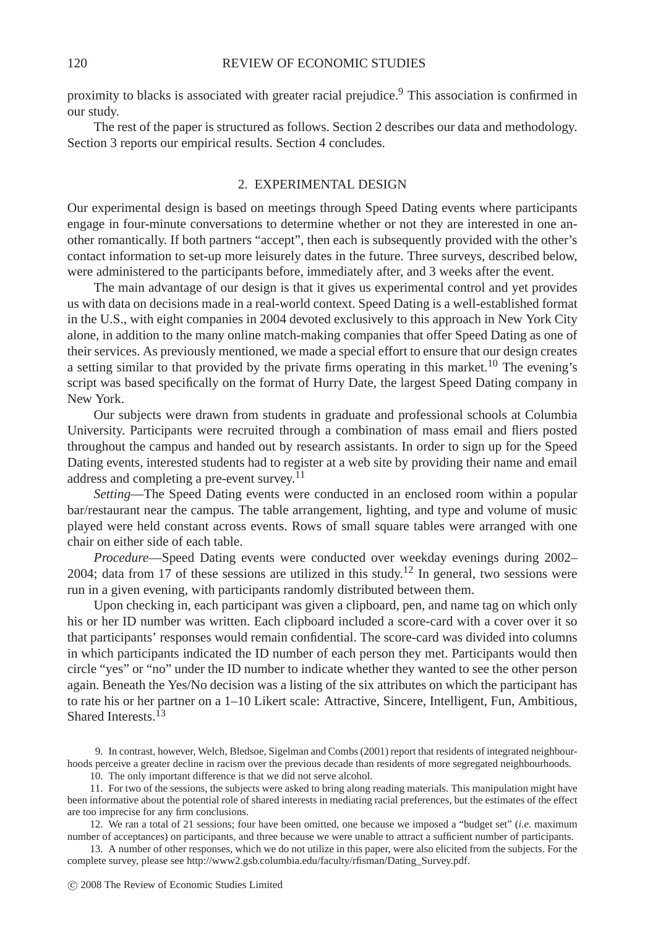proximity to blacks is associated with greater racial prejudice.<sup>9</sup> This association is confirmed in our study.

The rest of the paper is structured as follows. Section 2 describes our data and methodology. Section 3 reports our empirical results. Section 4 concludes.

#### 2. EXPERIMENTAL DESIGN

Our experimental design is based on meetings through Speed Dating events where participants engage in four-minute conversations to determine whether or not they are interested in one another romantically. If both partners "accept", then each is subsequently provided with the other's contact information to set-up more leisurely dates in the future. Three surveys, described below, were administered to the participants before, immediately after, and 3 weeks after the event.

The main advantage of our design is that it gives us experimental control and yet provides us with data on decisions made in a real-world context. Speed Dating is a well-established format in the U.S., with eight companies in 2004 devoted exclusively to this approach in New York City alone, in addition to the many online match-making companies that offer Speed Dating as one of their services. As previously mentioned, we made a special effort to ensure that our design creates a setting similar to that provided by the private firms operating in this market.<sup>10</sup> The evening's script was based specifically on the format of Hurry Date, the largest Speed Dating company in New York.

Our subjects were drawn from students in graduate and professional schools at Columbia University. Participants were recruited through a combination of mass email and fliers posted throughout the campus and handed out by research assistants. In order to sign up for the Speed Dating events, interested students had to register at a web site by providing their name and email address and completing a pre-event survey.11

*Setting*—The Speed Dating events were conducted in an enclosed room within a popular bar/restaurant near the campus. The table arrangement, lighting, and type and volume of music played were held constant across events. Rows of small square tables were arranged with one chair on either side of each table.

*Procedure*—Speed Dating events were conducted over weekday evenings during 2002– 2004; data from 17 of these sessions are utilized in this study.<sup>12</sup> In general, two sessions were run in a given evening, with participants randomly distributed between them.

Upon checking in, each participant was given a clipboard, pen, and name tag on which only his or her ID number was written. Each clipboard included a score-card with a cover over it so that participants' responses would remain confidential. The score-card was divided into columns in which participants indicated the ID number of each person they met. Participants would then circle "yes" or "no" under the ID number to indicate whether they wanted to see the other person again. Beneath the Yes/No decision was a listing of the six attributes on which the participant has to rate his or her partner on a 1–10 Likert scale: Attractive, Sincere, Intelligent, Fun, Ambitious, Shared Interests.<sup>13</sup>

11. For two of the sessions, the subjects were asked to bring along reading materials. This manipulation might have been informative about the potential role of shared interests in mediating racial preferences, but the estimates of the effect are too imprecise for any firm conclusions.

12. We ran a total of 21 sessions; four have been omitted, one because we imposed a "budget set" (*i.e.* maximum number of acceptances) on participants, and three because we were unable to attract a sufficient number of participants.

13. A number of other responses, which we do not utilize in this paper, were also elicited from the subjects. For the complete survey, please see http://www2.gsb.columbia.edu/faculty/rfisman/Dating\_Survey.pdf.

<sup>9.</sup> In contrast, however, Welch, Bledsoe, Sigelman and Combs (2001) report that residents of integrated neighbourhoods perceive a greater decline in racism over the previous decade than residents of more segregated neighbourhoods.

<sup>10.</sup> The only important difference is that we did not serve alcohol.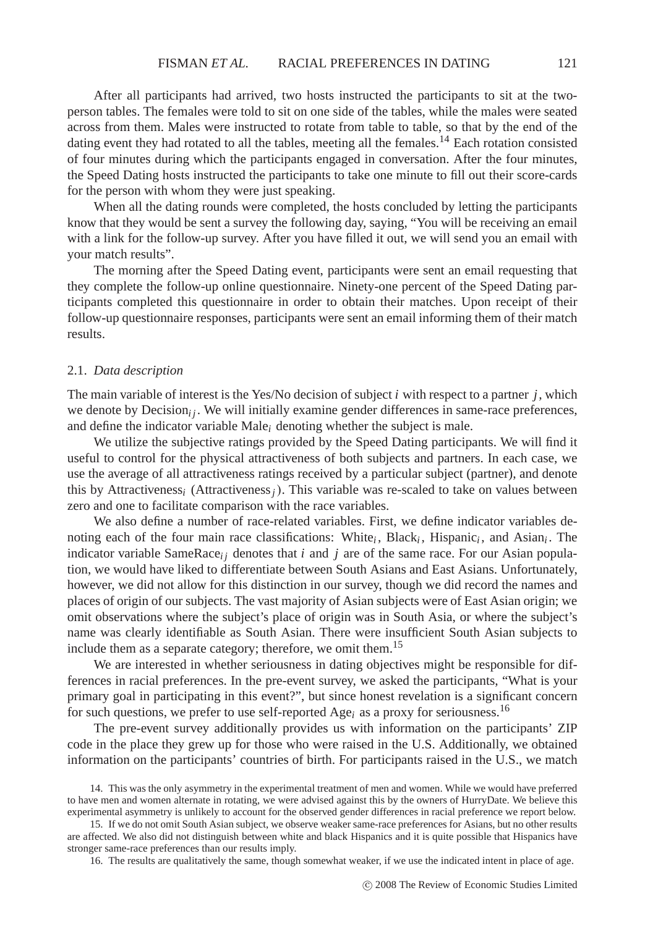After all participants had arrived, two hosts instructed the participants to sit at the twoperson tables. The females were told to sit on one side of the tables, while the males were seated across from them. Males were instructed to rotate from table to table, so that by the end of the dating event they had rotated to all the tables, meeting all the females.<sup>14</sup> Each rotation consisted of four minutes during which the participants engaged in conversation. After the four minutes, the Speed Dating hosts instructed the participants to take one minute to fill out their score-cards for the person with whom they were just speaking.

When all the dating rounds were completed, the hosts concluded by letting the participants know that they would be sent a survey the following day, saying, "You will be receiving an email with a link for the follow-up survey. After you have filled it out, we will send you an email with your match results".

The morning after the Speed Dating event, participants were sent an email requesting that they complete the follow-up online questionnaire. Ninety-one percent of the Speed Dating participants completed this questionnaire in order to obtain their matches. Upon receipt of their follow-up questionnaire responses, participants were sent an email informing them of their match results.

#### 2.1. *Data description*

The main variable of interest is the Yes/No decision of subject *i* with respect to a partner *j*, which we denote by Decision<sub>i</sub>  $\mu$ . We will initially examine gender differences in same-race preferences, and define the indicator variable Male*i* denoting whether the subject is male.

We utilize the subjective ratings provided by the Speed Dating participants. We will find it useful to control for the physical attractiveness of both subjects and partners. In each case, we use the average of all attractiveness ratings received by a particular subject (partner), and denote this by Attractiveness*<sup>i</sup>* (Attractiveness*j*). This variable was re-scaled to take on values between zero and one to facilitate comparison with the race variables.

We also define a number of race-related variables. First, we define indicator variables denoting each of the four main race classifications: White*i* , Black*i* , Hispanic*i* , and Asian*i* . The indicator variable SameRace<sub>i</sub> denotes that *i* and *j* are of the same race. For our Asian population, we would have liked to differentiate between South Asians and East Asians. Unfortunately, however, we did not allow for this distinction in our survey, though we did record the names and places of origin of our subjects. The vast majority of Asian subjects were of East Asian origin; we omit observations where the subject's place of origin was in South Asia, or where the subject's name was clearly identifiable as South Asian. There were insufficient South Asian subjects to include them as a separate category; therefore, we omit them.<sup>15</sup>

We are interested in whether seriousness in dating objectives might be responsible for differences in racial preferences. In the pre-event survey, we asked the participants, "What is your primary goal in participating in this event?", but since honest revelation is a significant concern for such questions, we prefer to use self-reported Age<sub>i</sub> as a proxy for seriousness.<sup>16</sup>

The pre-event survey additionally provides us with information on the participants' ZIP code in the place they grew up for those who were raised in the U.S. Additionally, we obtained information on the participants' countries of birth. For participants raised in the U.S., we match

15. If we do not omit South Asian subject, we observe weaker same-race preferences for Asians, but no other results are affected. We also did not distinguish between white and black Hispanics and it is quite possible that Hispanics have stronger same-race preferences than our results imply.

16. The results are qualitatively the same, though somewhat weaker, if we use the indicated intent in place of age.

<sup>14.</sup> This was the only asymmetry in the experimental treatment of men and women. While we would have preferred to have men and women alternate in rotating, we were advised against this by the owners of HurryDate. We believe this experimental asymmetry is unlikely to account for the observed gender differences in racial preference we report below.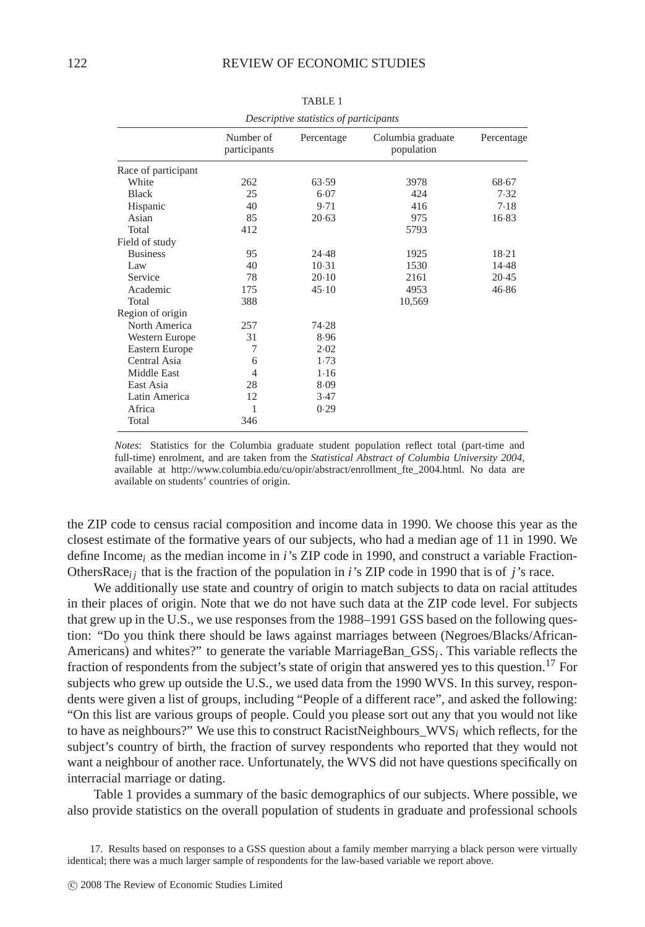| Descriptive statistics of participants |                           |            |                                 |            |  |  |  |  |  |
|----------------------------------------|---------------------------|------------|---------------------------------|------------|--|--|--|--|--|
|                                        | Number of<br>participants | Percentage | Columbia graduate<br>population | Percentage |  |  |  |  |  |
| Race of participant                    |                           |            |                                 |            |  |  |  |  |  |
| White                                  | 262                       | 63.59      | 3978                            | 68.67      |  |  |  |  |  |
| <b>Black</b>                           | 25                        | 6.07       | 424                             | 7.32       |  |  |  |  |  |
| Hispanic                               | 40                        | 9.71       | 416                             | 7.18       |  |  |  |  |  |
| Asian                                  | 85                        | 20.63      | 975                             | 16.83      |  |  |  |  |  |
| Total                                  | 412                       |            | 5793                            |            |  |  |  |  |  |
| Field of study                         |                           |            |                                 |            |  |  |  |  |  |
| <b>Business</b>                        | 95                        | 24.48      | 1925                            | $18-21$    |  |  |  |  |  |
| Law                                    | 40                        | 10.31      | 1530                            | 14.48      |  |  |  |  |  |
| Service                                | 78                        | 20.10      | 2161                            | 20.45      |  |  |  |  |  |
| Academic                               | 175                       | 45.10      | 4953                            | 46.86      |  |  |  |  |  |
| Total                                  | 388                       |            | 10,569                          |            |  |  |  |  |  |
| Region of origin                       |                           |            |                                 |            |  |  |  |  |  |
| North America                          | 257                       | 74.28      |                                 |            |  |  |  |  |  |
| Western Europe                         | 31                        | 8.96       |                                 |            |  |  |  |  |  |
| Eastern Europe                         | 7                         | 2.02       |                                 |            |  |  |  |  |  |
| Central Asia                           | 6                         | 1.73       |                                 |            |  |  |  |  |  |
| Middle East                            | 4                         | 1.16       |                                 |            |  |  |  |  |  |
| East Asia                              | 28                        | 8.09       |                                 |            |  |  |  |  |  |
| Latin America                          | 12                        | 3.47       |                                 |            |  |  |  |  |  |
| Africa                                 | 1                         | 0.29       |                                 |            |  |  |  |  |  |
| Total                                  | 346                       |            |                                 |            |  |  |  |  |  |

TABLE 1

*Notes*: Statistics for the Columbia graduate student population reflect total (part-time and full-time) enrolment, and are taken from the *Statistical Abstract of Columbia University 2004*, available at http://www.columbia.edu/cu/opir/abstract/enrollment\_fte\_2004.html. No data are available on students' countries of origin.

the ZIP code to census racial composition and income data in 1990. We choose this year as the closest estimate of the formative years of our subjects, who had a median age of 11 in 1990. We define Income*<sup>i</sup>* as the median income in *i*'s ZIP code in 1990, and construct a variable Fraction-OthersRace $i_i$  that is the fraction of the population in *i*'s ZIP code in 1990 that is of *j*'s race.

We additionally use state and country of origin to match subjects to data on racial attitudes in their places of origin. Note that we do not have such data at the ZIP code level. For subjects that grew up in the U.S., we use responses from the 1988–1991 GSS based on the following question: "Do you think there should be laws against marriages between (Negroes/Blacks/African-Americans) and whites?" to generate the variable MarriageBan\_GSS*i* . This variable reflects the fraction of respondents from the subject's state of origin that answered yes to this question.<sup>17</sup> For subjects who grew up outside the U.S., we used data from the 1990 WVS. In this survey, respondents were given a list of groups, including "People of a different race", and asked the following: "On this list are various groups of people. Could you please sort out any that you would not like to have as neighbours?" We use this to construct RacistNeighbours\_WVS<sub>i</sub> which reflects, for the subject's country of birth, the fraction of survey respondents who reported that they would not want a neighbour of another race. Unfortunately, the WVS did not have questions specifically on interracial marriage or dating.

Table 1 provides a summary of the basic demographics of our subjects. Where possible, we also provide statistics on the overall population of students in graduate and professional schools

<sup>17.</sup> Results based on responses to a GSS question about a family member marrying a black person were virtually identical; there was a much larger sample of respondents for the law-based variable we report above.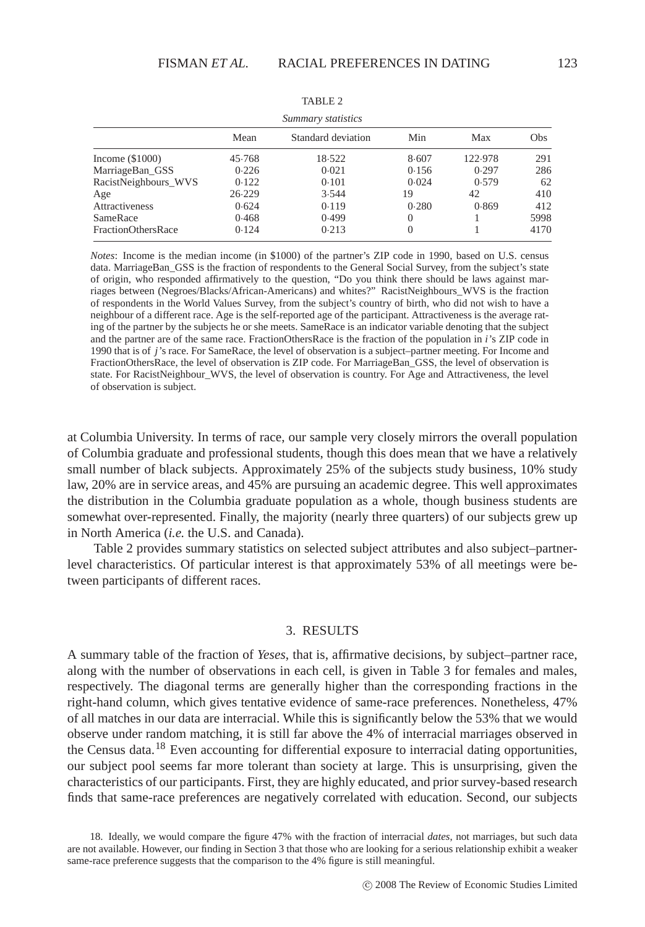| Summary statistics   |        |                    |         |         |     |  |  |  |  |  |
|----------------------|--------|--------------------|---------|---------|-----|--|--|--|--|--|
|                      | Mean   | Standard deviation | Min     | Max     | Obs |  |  |  |  |  |
| Income $(\$1000)$    | 45.768 | 18.522             | 8.607   | 122.978 | 291 |  |  |  |  |  |
| MarriageBan_GSS      | 0.226  | 0.021              | 0.156   | 0.297   | 286 |  |  |  |  |  |
| RacistNeighbours WVS | 0.122  | 0.101              | 0.024   | 0.579   | 62  |  |  |  |  |  |
| Age                  | 26.229 | 3.544              | 19      | 42      | 410 |  |  |  |  |  |
|                      | .      | .                  | - - - - | ---     | .   |  |  |  |  |  |

TABLE  $2$ 

Attractiveness 0.624 0.119 0.280 0.869 412 SameRace 0.468 0.499 0 1 5998 FractionOthersRace  $0.124$   $0.213$  0 1 4170

*Notes*: Income is the median income (in \$1000) of the partner's ZIP code in 1990, based on U.S. census data. MarriageBan\_GSS is the fraction of respondents to the General Social Survey, from the subject's state of origin, who responded affirmatively to the question, "Do you think there should be laws against marriages between (Negroes/Blacks/African-Americans) and whites?" RacistNeighbours\_WVS is the fraction of respondents in the World Values Survey, from the subject's country of birth, who did not wish to have a neighbour of a different race. Age is the self-reported age of the participant. Attractiveness is the average rating of the partner by the subjects he or she meets. SameRace is an indicator variable denoting that the subject and the partner are of the same race. FractionOthersRace is the fraction of the population in *i*'s ZIP code in 1990 that is of *j*'s race. For SameRace, the level of observation is a subject–partner meeting. For Income and FractionOthersRace, the level of observation is ZIP code. For MarriageBan\_GSS, the level of observation is state. For RacistNeighbour\_WVS, the level of observation is country. For Age and Attractiveness, the level of observation is subject.

at Columbia University. In terms of race, our sample very closely mirrors the overall population of Columbia graduate and professional students, though this does mean that we have a relatively small number of black subjects. Approximately 25% of the subjects study business, 10% study law, 20% are in service areas, and 45% are pursuing an academic degree. This well approximates the distribution in the Columbia graduate population as a whole, though business students are somewhat over-represented. Finally, the majority (nearly three quarters) of our subjects grew up in North America (*i.e.* the U.S. and Canada).

Table 2 provides summary statistics on selected subject attributes and also subject–partnerlevel characteristics. Of particular interest is that approximately 53% of all meetings were between participants of different races.

#### 3. RESULTS

A summary table of the fraction of *Yeses*, that is, affirmative decisions, by subject–partner race, along with the number of observations in each cell, is given in Table 3 for females and males, respectively. The diagonal terms are generally higher than the corresponding fractions in the right-hand column, which gives tentative evidence of same-race preferences. Nonetheless, 47% of all matches in our data are interracial. While this is significantly below the 53% that we would observe under random matching, it is still far above the 4% of interracial marriages observed in the Census data.<sup>18</sup> Even accounting for differential exposure to interracial dating opportunities, our subject pool seems far more tolerant than society at large. This is unsurprising, given the characteristics of our participants. First, they are highly educated, and prior survey-based research finds that same-race preferences are negatively correlated with education. Second, our subjects

<sup>18.</sup> Ideally, we would compare the figure 47% with the fraction of interracial *dates*, not marriages, but such data are not available. However, our finding in Section 3 that those who are looking for a serious relationship exhibit a weaker same-race preference suggests that the comparison to the 4% figure is still meaningful.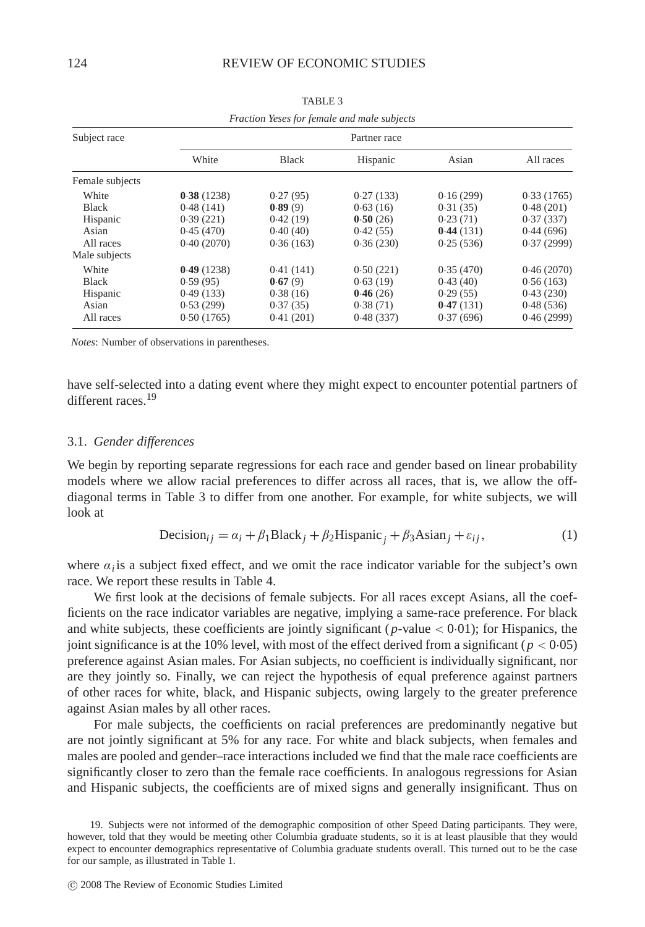|                 | Fraction Yeses for female and male subjects |              |           |           |            |  |  |  |  |  |  |
|-----------------|---------------------------------------------|--------------|-----------|-----------|------------|--|--|--|--|--|--|
| Subject race    |                                             | Partner race |           |           |            |  |  |  |  |  |  |
|                 | White                                       | <b>Black</b> | Hispanic  | Asian     | All races  |  |  |  |  |  |  |
| Female subjects |                                             |              |           |           |            |  |  |  |  |  |  |
| White           | 0.38(1238)                                  | 0.27(95)     | 0.27(133) | 0.16(299) | 0.33(1765) |  |  |  |  |  |  |
| <b>Black</b>    | 0.48(141)                                   | 0.89(9)      | 0.63(16)  | 0.31(35)  | 0.48(201)  |  |  |  |  |  |  |
| Hispanic        | 0.39(221)                                   | 0.42(19)     | 0.50(26)  | 0.23(71)  | 0.37(337)  |  |  |  |  |  |  |
| Asian           | 0.45(470)                                   | 0.40(40)     | 0.42(55)  | 0.44(131) | 0.44(696)  |  |  |  |  |  |  |
| All races       | 0.40(2070)                                  | 0.36(163)    | 0.36(230) | 0.25(536) | 0.37(2999) |  |  |  |  |  |  |
| Male subjects   |                                             |              |           |           |            |  |  |  |  |  |  |
| White           | 0.49(1238)                                  | 0.41(141)    | 0.50(221) | 0.35(470) | 0.46(2070) |  |  |  |  |  |  |
| <b>Black</b>    | 0.59(95)                                    | 0.67(9)      | 0.63(19)  | 0.43(40)  | 0.56(163)  |  |  |  |  |  |  |
| Hispanic        | 0.49(133)                                   | 0.38(16)     | 0.46(26)  | 0.29(55)  | 0.43(230)  |  |  |  |  |  |  |
| Asian           | 0.53(299)                                   | 0.37(35)     | 0.38(71)  | 0.47(131) | 0.48(536)  |  |  |  |  |  |  |
| All races       | 0.50(1765)                                  | 0.41(201)    | 0.48(337) | 0.37(696) | 0.46(2999) |  |  |  |  |  |  |

TABLE 3

*Notes*: Number of observations in parentheses.

have self-selected into a dating event where they might expect to encounter potential partners of different races<sup>19</sup>

#### 3.1. *Gender differences*

We begin by reporting separate regressions for each race and gender based on linear probability models where we allow racial preferences to differ across all races, that is, we allow the offdiagonal terms in Table 3 to differ from one another. For example, for white subjects, we will look at

Decision<sub>ij</sub> = 
$$
\alpha_i + \beta_1 \text{Black}_j + \beta_2 \text{Hispanic}_j + \beta_3 \text{Asian}_j + \varepsilon_{ij}
$$
, (1)

where  $\alpha_i$  is a subject fixed effect, and we omit the race indicator variable for the subject's own race. We report these results in Table 4.

We first look at the decisions of female subjects. For all races except Asians, all the coefficients on the race indicator variables are negative, implying a same-race preference. For black and white subjects, these coefficients are jointly significant ( $p$ -value  $< 0.01$ ); for Hispanics, the joint significance is at the 10% level, with most of the effect derived from a significant ( $p < 0.05$ ) preference against Asian males. For Asian subjects, no coefficient is individually significant, nor are they jointly so. Finally, we can reject the hypothesis of equal preference against partners of other races for white, black, and Hispanic subjects, owing largely to the greater preference against Asian males by all other races.

For male subjects, the coefficients on racial preferences are predominantly negative but are not jointly significant at 5% for any race. For white and black subjects, when females and males are pooled and gender–race interactions included we find that the male race coefficients are significantly closer to zero than the female race coefficients. In analogous regressions for Asian and Hispanic subjects, the coefficients are of mixed signs and generally insignificant. Thus on

19. Subjects were not informed of the demographic composition of other Speed Dating participants. They were, however, told that they would be meeting other Columbia graduate students, so it is at least plausible that they would expect to encounter demographics representative of Columbia graduate students overall. This turned out to be the case for our sample, as illustrated in Table 1.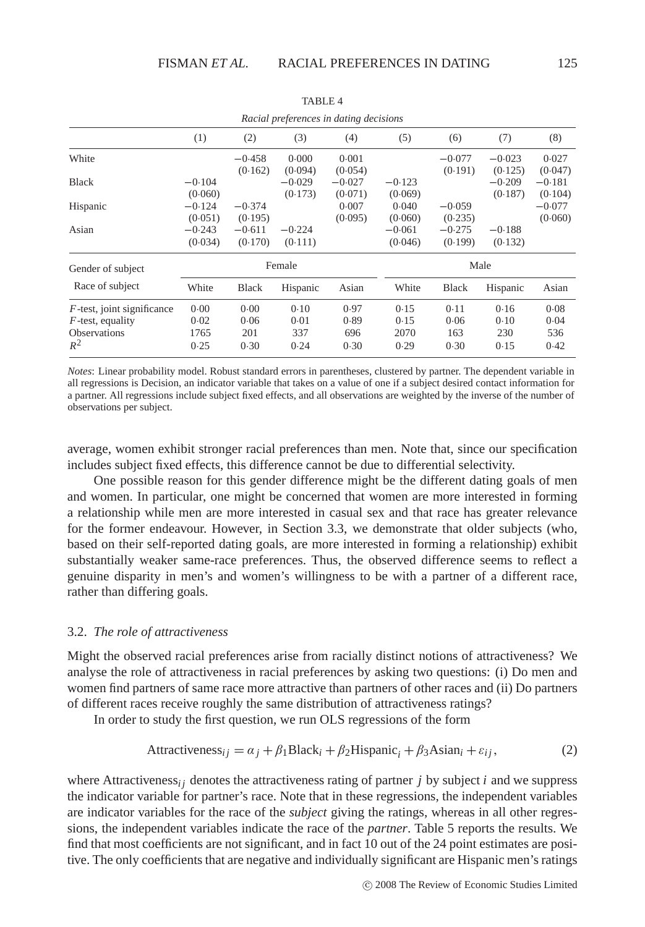|                                                                             |                      |                     |                     | Racial preferences in dating decisions |                      |                     |                     |                     |  |
|-----------------------------------------------------------------------------|----------------------|---------------------|---------------------|----------------------------------------|----------------------|---------------------|---------------------|---------------------|--|
|                                                                             | (1)                  | (2)                 | (3)                 | (4)                                    | (5)                  | (6)                 | (7)                 | (8)                 |  |
| White                                                                       |                      | $-0.458$<br>(0.162) | 0.000<br>(0.094)    | 0.001<br>(0.054)                       |                      | $-0.077$<br>(0.191) | $-0.023$<br>(0.125) | 0.027<br>(0.047)    |  |
| <b>Black</b>                                                                | $-0.104$<br>(0.060)  |                     | $-0.029$<br>(0.173) | $-0.027$<br>(0.071)                    | $-0.123$<br>(0.069)  |                     | $-0.209$<br>(0.187) | $-0.181$<br>(0.104) |  |
| Hispanic                                                                    | $-0.124$<br>(0.051)  | $-0.374$<br>(0.195) |                     | 0.007<br>(0.095)                       | 0.040<br>(0.060)     | $-0.059$<br>(0.235) |                     | $-0.077$<br>(0.060) |  |
| Asian                                                                       | $-0.243$<br>(0.034)  | $-0.611$<br>(0.170) | $-0.224$<br>(0.111) |                                        | $-0.061$<br>(0.046)  | $-0.275$<br>(0.199) | $-0.188$<br>(0.132) |                     |  |
| Gender of subject                                                           |                      |                     | Female              |                                        | Male                 |                     |                     |                     |  |
| Race of subject                                                             | White                | <b>Black</b>        | Hispanic            | Asian                                  | White                | <b>Black</b>        | Hispanic            | Asian               |  |
| $F$ -test, joint significance<br>$F$ -test, equality<br><b>Observations</b> | 0.00<br>0.02<br>1765 | 0.00<br>0.06<br>201 | 0.10<br>0.01<br>337 | 0.97<br>0.89<br>696                    | 0.15<br>0.15<br>2070 | 0.11<br>0.06<br>163 | 0.16<br>0.10<br>230 | 0.08<br>0.04<br>536 |  |
| $R^2$                                                                       | 0.25                 | 0.30                | 0.24                | 0.30                                   | 0.29                 | 0.30                | 0.15                | 0.42                |  |

TABLE 4

*Notes*: Linear probability model. Robust standard errors in parentheses, clustered by partner. The dependent variable in all regressions is Decision, an indicator variable that takes on a value of one if a subject desired contact information for a partner. All regressions include subject fixed effects, and all observations are weighted by the inverse of the number of observations per subject.

average, women exhibit stronger racial preferences than men. Note that, since our specification includes subject fixed effects, this difference cannot be due to differential selectivity.

One possible reason for this gender difference might be the different dating goals of men and women. In particular, one might be concerned that women are more interested in forming a relationship while men are more interested in casual sex and that race has greater relevance for the former endeavour. However, in Section 3.3, we demonstrate that older subjects (who, based on their self-reported dating goals, are more interested in forming a relationship) exhibit substantially weaker same-race preferences. Thus, the observed difference seems to reflect a genuine disparity in men's and women's willingness to be with a partner of a different race, rather than differing goals.

#### 3.2. *The role of attractiveness*

Might the observed racial preferences arise from racially distinct notions of attractiveness? We analyse the role of attractiveness in racial preferences by asking two questions: (i) Do men and women find partners of same race more attractive than partners of other races and (ii) Do partners of different races receive roughly the same distribution of attractiveness ratings?

In order to study the first question, we run OLS regressions of the form

$$
Attractiveness_{ij} = \alpha_j + \beta_1 Black_i + \beta_2Hispanic_i + \beta_3 Asian_i + \varepsilon_{ij},
$$
\n(2)

where Attractiveness<sub>*i*</sub> denotes the attractiveness rating of partner *j* by subject *i* and we suppress the indicator variable for partner's race. Note that in these regressions, the independent variables are indicator variables for the race of the *subject* giving the ratings, whereas in all other regressions, the independent variables indicate the race of the *partner*. Table 5 reports the results. We find that most coefficients are not significant, and in fact 10 out of the 24 point estimates are positive. The only coefficients that are negative and individually significant are Hispanic men's ratings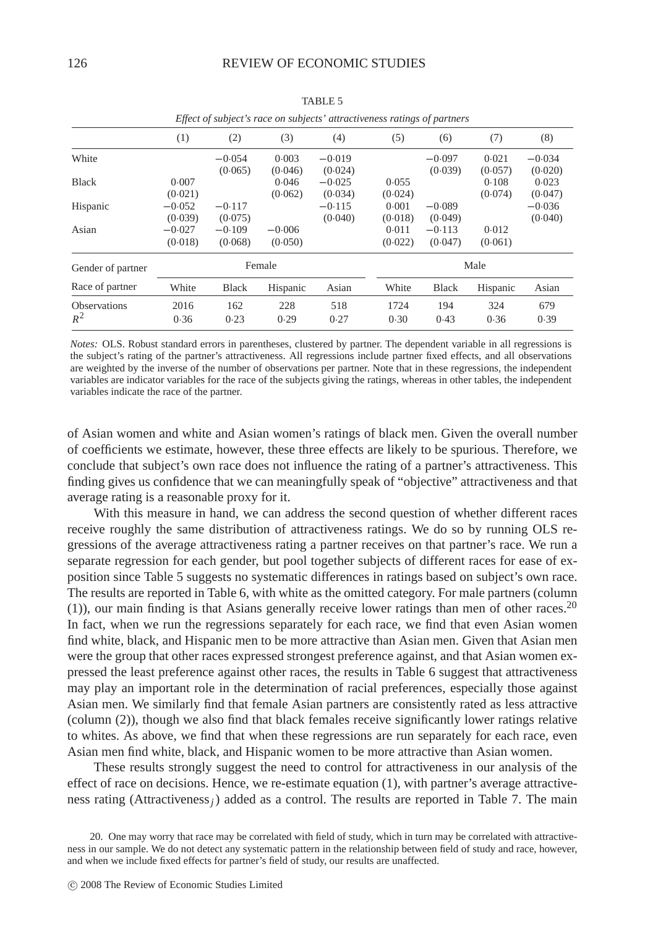|                     |                     |                     |                     | Effect of subject's race on subjects' attractiveness ratings of partners |                  |                     |                  |                     |
|---------------------|---------------------|---------------------|---------------------|--------------------------------------------------------------------------|------------------|---------------------|------------------|---------------------|
|                     | (1)                 | (2)                 | (3)                 | (4)                                                                      | (5)              | (6)                 | (7)              | (8)                 |
| White               |                     | $-0.054$<br>(0.065) | 0.003<br>(0.046)    | $-0.019$<br>(0.024)                                                      |                  | $-0.097$<br>(0.039) | 0.021<br>(0.057) | $-0.034$<br>(0.020) |
| <b>Black</b>        | 0.007<br>(0.021)    |                     | 0.046<br>(0.062)    | $-0.025$<br>(0.034)                                                      | 0.055<br>(0.024) |                     | 0.108<br>(0.074) | 0.023<br>(0.047)    |
| Hispanic            | $-0.052$<br>(0.039) | $-0.117$<br>(0.075) |                     | $-0.115$<br>(0.040)                                                      | 0.001<br>(0.018) | $-0.089$<br>(0.049) |                  | $-0.036$<br>(0.040) |
| Asian               | $-0.027$<br>(0.018) | $-0.109$<br>(0.068) | $-0.006$<br>(0.050) |                                                                          | 0.011<br>(0.022) | $-0.113$<br>(0.047) | 0.012<br>(0.061) |                     |
| Gender of partner   |                     | Female              |                     |                                                                          |                  |                     | Male             |                     |
| Race of partner     | White               | <b>Black</b>        | Hispanic            | Asian                                                                    | White            | <b>Black</b>        | Hispanic         | Asian               |
| <b>Observations</b> | 2016                | 162                 | 228                 | 518                                                                      | 1724             | 194                 | 324              | 679                 |
| $R^2$               | 0.36                | 0.23                | 0.29                | 0.27                                                                     | 0.30             | 0.43                | 0.36             | 0.39                |

TABLE 5

*Notes:* OLS. Robust standard errors in parentheses, clustered by partner. The dependent variable in all regressions is the subject's rating of the partner's attractiveness. All regressions include partner fixed effects, and all observations are weighted by the inverse of the number of observations per partner. Note that in these regressions, the independent variables are indicator variables for the race of the subjects giving the ratings, whereas in other tables, the independent variables indicate the race of the partner.

of Asian women and white and Asian women's ratings of black men. Given the overall number of coefficients we estimate, however, these three effects are likely to be spurious. Therefore, we conclude that subject's own race does not influence the rating of a partner's attractiveness. This finding gives us confidence that we can meaningfully speak of "objective" attractiveness and that average rating is a reasonable proxy for it.

With this measure in hand, we can address the second question of whether different races receive roughly the same distribution of attractiveness ratings. We do so by running OLS regressions of the average attractiveness rating a partner receives on that partner's race. We run a separate regression for each gender, but pool together subjects of different races for ease of exposition since Table 5 suggests no systematic differences in ratings based on subject's own race. The results are reported in Table 6, with white as the omitted category. For male partners (column (1)), our main finding is that Asians generally receive lower ratings than men of other races.<sup>20</sup> In fact, when we run the regressions separately for each race, we find that even Asian women find white, black, and Hispanic men to be more attractive than Asian men. Given that Asian men were the group that other races expressed strongest preference against, and that Asian women expressed the least preference against other races, the results in Table 6 suggest that attractiveness may play an important role in the determination of racial preferences, especially those against Asian men. We similarly find that female Asian partners are consistently rated as less attractive (column (2)), though we also find that black females receive significantly lower ratings relative to whites. As above, we find that when these regressions are run separately for each race, even Asian men find white, black, and Hispanic women to be more attractive than Asian women.

These results strongly suggest the need to control for attractiveness in our analysis of the effect of race on decisions. Hence, we re-estimate equation (1), with partner's average attractiveness rating (Attractiveness*j*) added as a control. The results are reported in Table 7. The main

<sup>20.</sup> One may worry that race may be correlated with field of study, which in turn may be correlated with attractiveness in our sample. We do not detect any systematic pattern in the relationship between field of study and race, however, and when we include fixed effects for partner's field of study, our results are unaffected.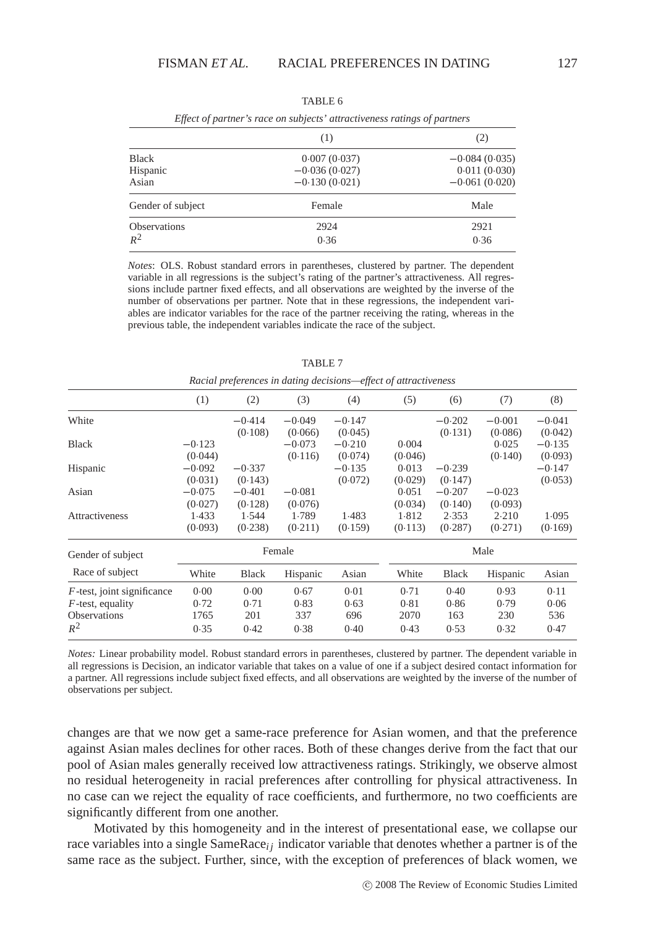|          | (1)                               | (2)                                                                      |  |
|----------|-----------------------------------|--------------------------------------------------------------------------|--|
|          | 0.007(0.037)                      | $-0.084(0.035)$                                                          |  |
|          | $-0.036(0.027)$                   | 0.011(0.030)                                                             |  |
|          | $-0.130(0.021)$                   | $-0.061(0.020)$                                                          |  |
|          | Female                            | Male                                                                     |  |
|          | 2924                              | 2921                                                                     |  |
|          | 0.36                              | 0.36                                                                     |  |
| Hispanic | Gender of subject<br>Observations | Effect of partner's race on subjects' attractiveness ratings of partners |  |

TABLE 6

*Notes*: OLS. Robust standard errors in parentheses, clustered by partner. The dependent variable in all regressions is the subject's rating of the partner's attractiveness. All regressions include partner fixed effects, and all observations are weighted by the inverse of the number of observations per partner. Note that in these regressions, the independent variables are indicator variables for the race of the partner receiving the rating, whereas in the previous table, the independent variables indicate the race of the subject.

| (1)      | (2)          | (3)      | (4)      | (5)     | (6)          | (7)      | (8)      |  |
|----------|--------------|----------|----------|---------|--------------|----------|----------|--|
|          | $-0.414$     | $-0.049$ | $-0.147$ |         | $-0.202$     | $-0.001$ | $-0.041$ |  |
|          | (0.108)      | (0.066)  | (0.045)  |         | (0.131)      | (0.086)  | (0.042)  |  |
| $-0.123$ |              | $-0.073$ | $-0.210$ | 0.004   |              | 0.025    | $-0.135$ |  |
| (0.044)  |              | (0.116)  | (0.074)  | (0.046) |              | (0.140)  | (0.093)  |  |
| $-0.092$ | $-0.337$     |          | $-0.135$ | 0.013   | $-0.239$     |          | $-0.147$ |  |
| (0.031)  | (0.143)      |          | (0.072)  | (0.029) | (0.147)      |          | (0.053)  |  |
| $-0.075$ | $-0.401$     | $-0.081$ |          | 0.051   | $-0.207$     | $-0.023$ |          |  |
| (0.027)  | (0.128)      | (0.076)  |          | (0.034) | (0.140)      | (0.093)  |          |  |
| 1.433    | 1.544        | 1.789    | 1.483    | 1.812   | 2.353        | 2.210    | 1.095    |  |
| (0.093)  | (0.238)      | (0.211)  | (0.159)  | (0.113) | (0.287)      | (0.271)  | (0.169)  |  |
|          |              |          |          |         | Male         |          |          |  |
| White    | <b>Black</b> | Hispanic | Asian    | White   | <b>Black</b> | Hispanic | Asian    |  |
| 0.00     | 0.00         | 0.67     | 0.01     | 0.71    | 0.40         | 0.93     | 0.11     |  |
| 0.72     | 0.71         | 0.83     | 0.63     | 0.81    | 0.86         | 0.79     | 0.06     |  |
| 1765     | 201          | 337      | 696      | 2070    | 163          | 230      | 536      |  |
| 0.35     | 0.42         | 0.38     | 0.40     | 0.43    | 0.53         | 0.32     | 0.47     |  |
|          |              |          | Female   |         |              |          |          |  |

TABLE 7

*Racial preferences in dating decisions—effect of attractiveness*

*Notes:* Linear probability model. Robust standard errors in parentheses, clustered by partner. The dependent variable in all regressions is Decision, an indicator variable that takes on a value of one if a subject desired contact information for a partner. All regressions include subject fixed effects, and all observations are weighted by the inverse of the number of observations per subject.

changes are that we now get a same-race preference for Asian women, and that the preference against Asian males declines for other races. Both of these changes derive from the fact that our pool of Asian males generally received low attractiveness ratings. Strikingly, we observe almost no residual heterogeneity in racial preferences after controlling for physical attractiveness. In no case can we reject the equality of race coefficients, and furthermore, no two coefficients are significantly different from one another.

Motivated by this homogeneity and in the interest of presentational ease, we collapse our race variables into a single SameRace<sub>i</sub> j indicator variable that denotes whether a partner is of the same race as the subject. Further, since, with the exception of preferences of black women, we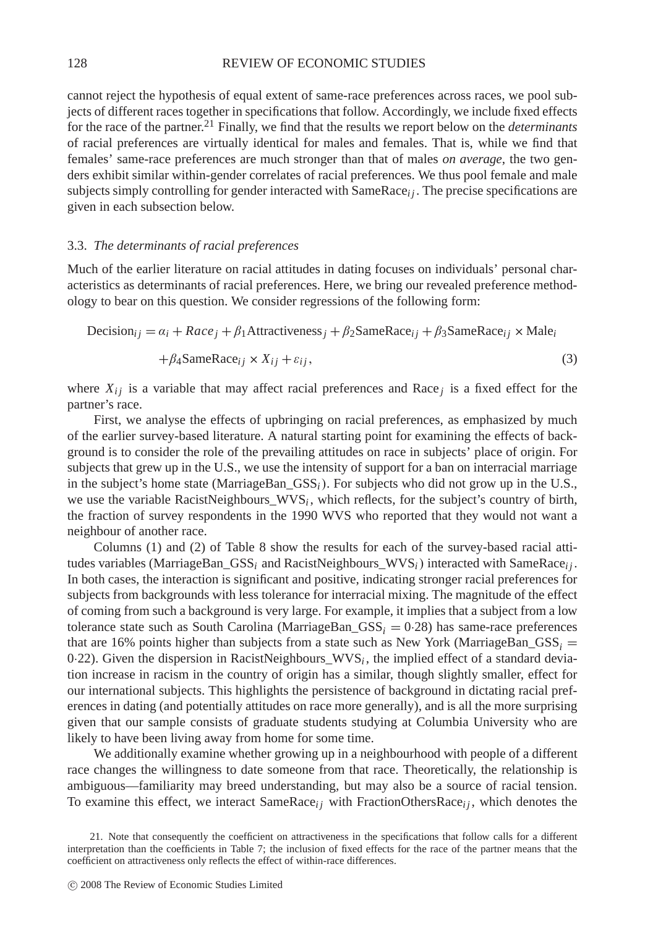cannot reject the hypothesis of equal extent of same-race preferences across races, we pool subjects of different races together in specifications that follow. Accordingly, we include fixed effects for the race of the partner.<sup>21</sup> Finally, we find that the results we report below on the *determinants* of racial preferences are virtually identical for males and females. That is, while we find that females' same-race preferences are much stronger than that of males *on average*, the two genders exhibit similar within-gender correlates of racial preferences. We thus pool female and male subjects simply controlling for gender interacted with SameRace<sub>i</sub>, The precise specifications are given in each subsection below.

#### 3.3. *The determinants of racial preferences*

Much of the earlier literature on racial attitudes in dating focuses on individuals' personal characteristics as determinants of racial preferences. Here, we bring our revealed preference methodology to bear on this question. We consider regressions of the following form:

Decision<sub>ij</sub> = 
$$
\alpha_i
$$
 +  $Race_j$  +  $\beta_1$ Attractiveness<sub>j</sub> +  $\beta_2$ SameRace<sub>ij</sub> +  $\beta_3$ SameRace<sub>ij</sub> × Male<sub>i</sub>

$$
+\beta_4 \text{SameRace}_{ij} \times X_{ij} + \varepsilon_{ij},\tag{3}
$$

where  $X_{ij}$  is a variable that may affect racial preferences and Race *j* is a fixed effect for the partner's race.

First, we analyse the effects of upbringing on racial preferences, as emphasized by much of the earlier survey-based literature. A natural starting point for examining the effects of background is to consider the role of the prevailing attitudes on race in subjects' place of origin. For subjects that grew up in the U.S., we use the intensity of support for a ban on interracial marriage in the subject's home state (MarriageBan\_GSS*i*). For subjects who did not grow up in the U.S., we use the variable RacistNeighbours\_WVS<sub>i</sub>, which reflects, for the subject's country of birth, the fraction of survey respondents in the 1990 WVS who reported that they would not want a neighbour of another race.

Columns (1) and (2) of Table 8 show the results for each of the survey-based racial attitudes variables (MarriageBan\_GSS*<sup>i</sup>* and RacistNeighbours\_WVS*i*) interacted with SameRace*i j* . In both cases, the interaction is significant and positive, indicating stronger racial preferences for subjects from backgrounds with less tolerance for interracial mixing. The magnitude of the effect of coming from such a background is very large. For example, it implies that a subject from a low tolerance state such as South Carolina (MarriageBan\_GSS*<sup>i</sup>* = 0·28) has same-race preferences that are 16% points higher than subjects from a state such as New York (MarriageBan $_GSS_i$ ) 0·22). Given the dispersion in RacistNeighbours\_WVS<sub>i</sub>, the implied effect of a standard deviation increase in racism in the country of origin has a similar, though slightly smaller, effect for our international subjects. This highlights the persistence of background in dictating racial preferences in dating (and potentially attitudes on race more generally), and is all the more surprising given that our sample consists of graduate students studying at Columbia University who are likely to have been living away from home for some time.

We additionally examine whether growing up in a neighbourhood with people of a different race changes the willingness to date someone from that race. Theoretically, the relationship is ambiguous—familiarity may breed understanding, but may also be a source of racial tension. To examine this effect, we interact  $Same_{ij}$  with FractionOthersRace<sub>i</sub>, which denotes the

<sup>21.</sup> Note that consequently the coefficient on attractiveness in the specifications that follow calls for a different interpretation than the coefficients in Table 7; the inclusion of fixed effects for the race of the partner means that the coefficient on attractiveness only reflects the effect of within-race differences.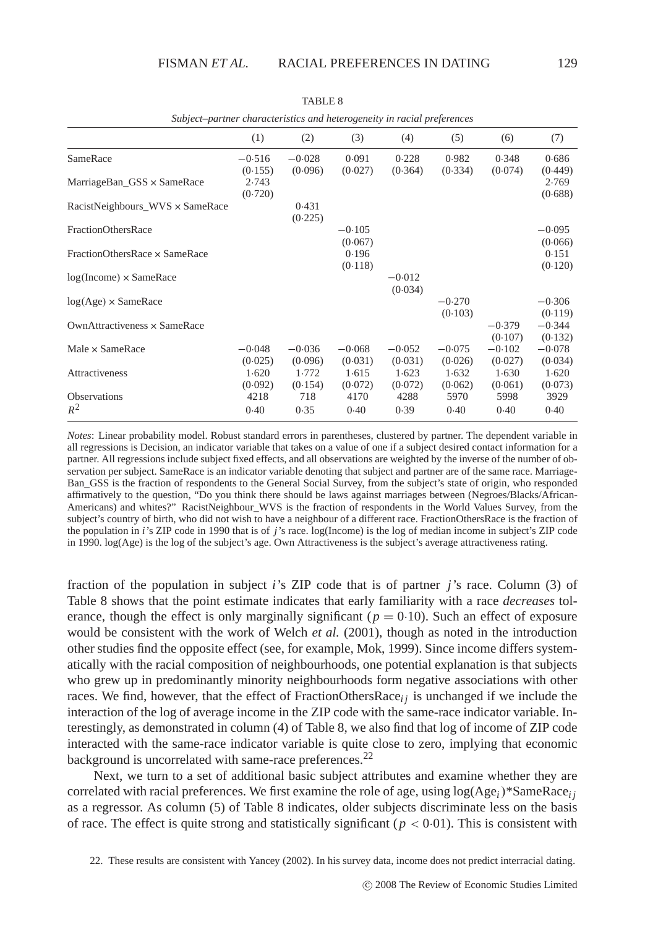|                                                  | (1)                 | (2)                 | (3)                 | (4)                 | (5)                 | (6)                 | (7)                 |
|--------------------------------------------------|---------------------|---------------------|---------------------|---------------------|---------------------|---------------------|---------------------|
| SameRace                                         | $-0.516$<br>(0.155) | $-0.028$<br>(0.096) | 0.091<br>(0.027)    | 0.228<br>(0.364)    | 0.982<br>(0.334)    | 0.348<br>(0.074)    | 0.686<br>(0.449)    |
| MarriageBan_GSS × SameRace                       | 2.743<br>(0.720)    |                     |                     |                     |                     |                     | 2.769<br>(0.688)    |
| $RacistNeighbors_WVS \times SameRace$            |                     | 0.431<br>(0.225)    |                     |                     |                     |                     |                     |
| FractionOthersRace                               |                     |                     | $-0.105$<br>(0.067) |                     |                     |                     | $-0.095$<br>(0.066) |
| FractionOthersRace x SameRace                    |                     |                     | 0.196<br>(0.118)    |                     |                     |                     | 0.151<br>(0.120)    |
| $log($ Income $) \times$ SameRace                |                     |                     |                     | $-0.012$<br>(0.034) |                     |                     |                     |
| $log(Age) \times SameRace$                       |                     |                     |                     |                     | $-0.270$<br>(0.103) |                     | $-0.306$<br>(0.119) |
| Own $\triangle$ Attractiveness $\times$ SameRace |                     |                     |                     |                     |                     | $-0.379$<br>(0.107) | $-0.344$<br>(0.132) |
| Male $\times$ SameRace                           | $-0.048$<br>(0.025) | $-0.036$<br>(0.096) | $-0.068$<br>(0.031) | $-0.052$<br>(0.031) | $-0.075$<br>(0.026) | $-0.102$<br>(0.027) | $-0.078$<br>(0.034) |
| Attractiveness                                   | 1.620<br>(0.092)    | 1.772<br>(0.154)    | 1.615<br>(0.072)    | 1.623<br>(0.072)    | 1.632<br>(0.062)    | 1.630<br>(0.061)    | 1.620<br>(0.073)    |
| <b>Observations</b><br>$R^2$                     | 4218<br>0.40        | 718<br>0.35         | 4170<br>0.40        | 4288<br>0.39        | 5970<br>0.40        | 5998<br>0.40        | 3929<br>0.40        |

TABLE 8

|                                 | (1)      | (2)      | (3)      | (4)      | (5)      | (6)      | (7)     |
|---------------------------------|----------|----------|----------|----------|----------|----------|---------|
| SameRace                        | $-0.516$ | $-0.028$ | 0.091    | 0.228    | 0.982    | 0.348    | 0.68    |
|                                 | (0.155)  | (0.096)  | (0.027)  | (0.364)  | (0.334)  | (0.074)  | (0.44)  |
| MarriageBan_GSS × SameRace      | 2.743    |          |          |          |          |          | 2.76    |
|                                 | (0.720)  |          |          |          |          |          | (0.68)  |
| RacistNeighbours_WVS × SameRace |          | 0.431    |          |          |          |          |         |
|                                 |          | (0.225)  |          |          |          |          |         |
| <b>FractionOthersRace</b>       |          |          | $-0.105$ |          |          |          | $-0.09$ |
|                                 |          |          | (0.067)  |          |          |          | (0.06)  |
| FractionOthersRace × SameRace   |          |          | 0.196    |          |          |          | 0.15    |
|                                 |          |          | (0.118)  |          |          |          | (0.12)  |
| $log(Income) \times SameRace$   |          |          |          | $-0.012$ |          |          |         |
|                                 |          |          |          | (0.034)  |          |          |         |
| $log(Age) \times SameRace$      |          |          |          |          | $-0.270$ |          | $-0.30$ |
|                                 |          |          |          |          | (0.103)  |          | (0.11)  |
| OwnAttractiveness × SameRace    |          |          |          |          |          | $-0.379$ | $-0.34$ |
|                                 |          |          |          |          |          | (0.107)  | (0.13)  |
| Male × SameRace                 | $-0.048$ | $-0.036$ | $-0.068$ | $-0.052$ | $-0.075$ | $-0.102$ | $-0.07$ |
|                                 | (0.025)  | (0.096)  | (0.031)  | (0.031)  | (0.026)  | (0.027)  | (0.03)  |
| Attractiveness                  | 1.620    | 1.772    | 1.615    | 1.623    | 1.632    | 1.630    | 1.62    |
|                                 | (0.092)  | (0.154)  | (0.072)  | (0.072)  | (0.062)  | (0.061)  | (0.07)  |
| Observations                    | 4218     | 718      | 4170     | 4288     | 5970     | 5998     | 3929    |
| $R^2$                           | 0.40     | 0.35     | 0.40     | 0.39     | 0.40     | 0.40     | 0.40    |

*Subject–partner characteristics and heterogeneity in racial preferences*

*Notes*: Linear probability model. Robust standard errors in parentheses, clustered by partner. The dependent variable in all regressions is Decision, an indicator variable that takes on a value of one if a subject desired contact information for a partner. All regressions include subject fixed effects, and all observations are weighted by the inverse of the number of observation per subject. SameRace is an indicator variable denoting that subject and partner are of the same race. Marriage-Ban\_GSS is the fraction of respondents to the General Social Survey, from the subject's state of origin, who responded affirmatively to the question, "Do you think there should be laws against marriages between (Negroes/Blacks/African-Americans) and whites?" RacistNeighbour\_WVS is the fraction of respondents in the World Values Survey, from the subject's country of birth, who did not wish to have a neighbour of a different race. FractionOthersRace is the fraction of the population in *i*'s ZIP code in 1990 that is of *j*'s race. log(Income) is the log of median income in subject's ZIP code in 1990. log(Age) is the log of the subject's age. Own Attractiveness is the subject's average attractiveness rating.

fraction of the population in subject *i*'s ZIP code that is of partner *j*'s race. Column (3) of Table 8 shows that the point estimate indicates that early familiarity with a race *decreases* tolerance, though the effect is only marginally significant ( $p = 0.10$ ). Such an effect of exposure would be consistent with the work of Welch *et al.* (2001), though as noted in the introduction other studies find the opposite effect (see, for example, Mok, 1999). Since income differs systematically with the racial composition of neighbourhoods, one potential explanation is that subjects who grew up in predominantly minority neighbourhoods form negative associations with other races. We find, however, that the effect of FractionOthersRace<sub>i</sub> is unchanged if we include the interaction of the log of average income in the ZIP code with the same-race indicator variable. Interestingly, as demonstrated in column (4) of Table 8, we also find that log of income of ZIP code interacted with the same-race indicator variable is quite close to zero, implying that economic background is uncorrelated with same-race preferences.<sup>22</sup>

Next, we turn to a set of additional basic subject attributes and examine whether they are correlated with racial preferences. We first examine the role of age, using  $log(Age_i)*SamRace_i$ *i* as a regressor. As column (5) of Table 8 indicates, older subjects discriminate less on the basis of race. The effect is quite strong and statistically significant ( $p < 0.01$ ). This is consistent with

<sup>22.</sup> These results are consistent with Yancey (2002). In his survey data, income does not predict interracial dating.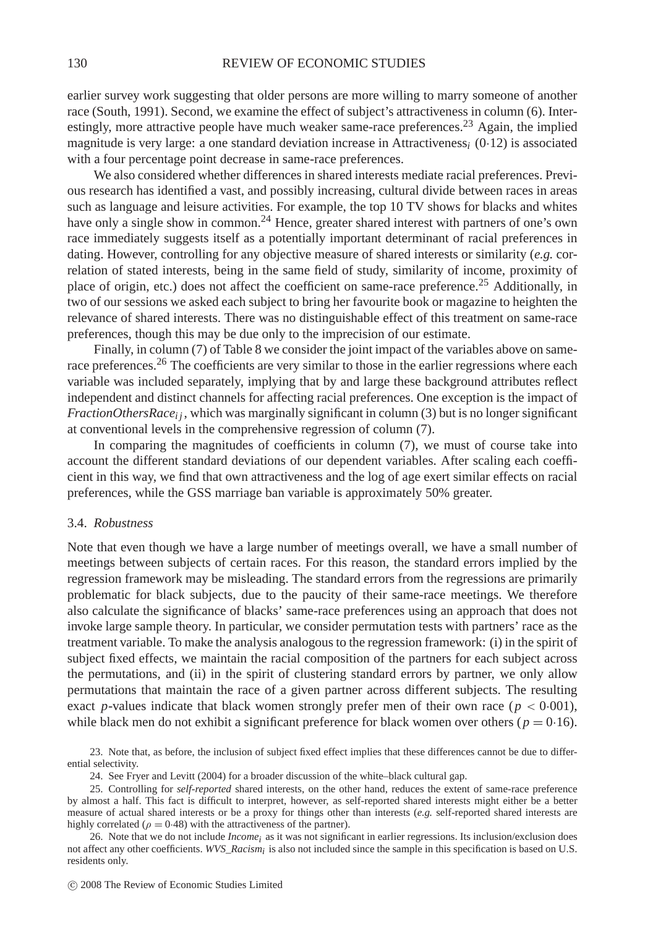earlier survey work suggesting that older persons are more willing to marry someone of another race (South, 1991). Second, we examine the effect of subject's attractiveness in column (6). Interestingly, more attractive people have much weaker same-race preferences.23 Again, the implied magnitude is very large: a one standard deviation increase in Attractiveness*<sup>i</sup>* (0·12) is associated with a four percentage point decrease in same-race preferences.

We also considered whether differences in shared interests mediate racial preferences. Previous research has identified a vast, and possibly increasing, cultural divide between races in areas such as language and leisure activities. For example, the top 10 TV shows for blacks and whites have only a single show in common.<sup>24</sup> Hence, greater shared interest with partners of one's own race immediately suggests itself as a potentially important determinant of racial preferences in dating. However, controlling for any objective measure of shared interests or similarity (*e.g.* correlation of stated interests, being in the same field of study, similarity of income, proximity of place of origin, etc.) does not affect the coefficient on same-race preference.<sup>25</sup> Additionally, in two of our sessions we asked each subject to bring her favourite book or magazine to heighten the relevance of shared interests. There was no distinguishable effect of this treatment on same-race preferences, though this may be due only to the imprecision of our estimate.

Finally, in column (7) of Table 8 we consider the joint impact of the variables above on samerace preferences.<sup>26</sup> The coefficients are very similar to those in the earlier regressions where each variable was included separately, implying that by and large these background attributes reflect independent and distinct channels for affecting racial preferences. One exception is the impact of *FractionOthersRace<sub>i</sub>*, which was marginally significant in column (3) but is no longer significant at conventional levels in the comprehensive regression of column (7).

In comparing the magnitudes of coefficients in column (7), we must of course take into account the different standard deviations of our dependent variables. After scaling each coefficient in this way, we find that own attractiveness and the log of age exert similar effects on racial preferences, while the GSS marriage ban variable is approximately 50% greater.

### 3.4. *Robustness*

Note that even though we have a large number of meetings overall, we have a small number of meetings between subjects of certain races. For this reason, the standard errors implied by the regression framework may be misleading. The standard errors from the regressions are primarily problematic for black subjects, due to the paucity of their same-race meetings. We therefore also calculate the significance of blacks' same-race preferences using an approach that does not invoke large sample theory. In particular, we consider permutation tests with partners' race as the treatment variable. To make the analysis analogous to the regression framework: (i) in the spirit of subject fixed effects, we maintain the racial composition of the partners for each subject across the permutations, and (ii) in the spirit of clustering standard errors by partner, we only allow permutations that maintain the race of a given partner across different subjects. The resulting exact *p*-values indicate that black women strongly prefer men of their own race ( $p < 0.001$ ), while black men do not exhibit a significant preference for black women over others ( $p = 0.16$ ).

23. Note that, as before, the inclusion of subject fixed effect implies that these differences cannot be due to differential selectivity.

24. See Fryer and Levitt (2004) for a broader discussion of the white–black cultural gap.

<sup>25.</sup> Controlling for *self-reported* shared interests, on the other hand, reduces the extent of same-race preference by almost a half. This fact is difficult to interpret, however, as self-reported shared interests might either be a better measure of actual shared interests or be a proxy for things other than interests (*e.g.* self-reported shared interests are highly correlated ( $\rho = 0.48$ ) with the attractiveness of the partner).

<sup>26.</sup> Note that we do not include *Incomei* as it was not significant in earlier regressions. Its inclusion/exclusion does not affect any other coefficients. *WVS\_Racismi* is also not included since the sample in this specification is based on U.S. residents only.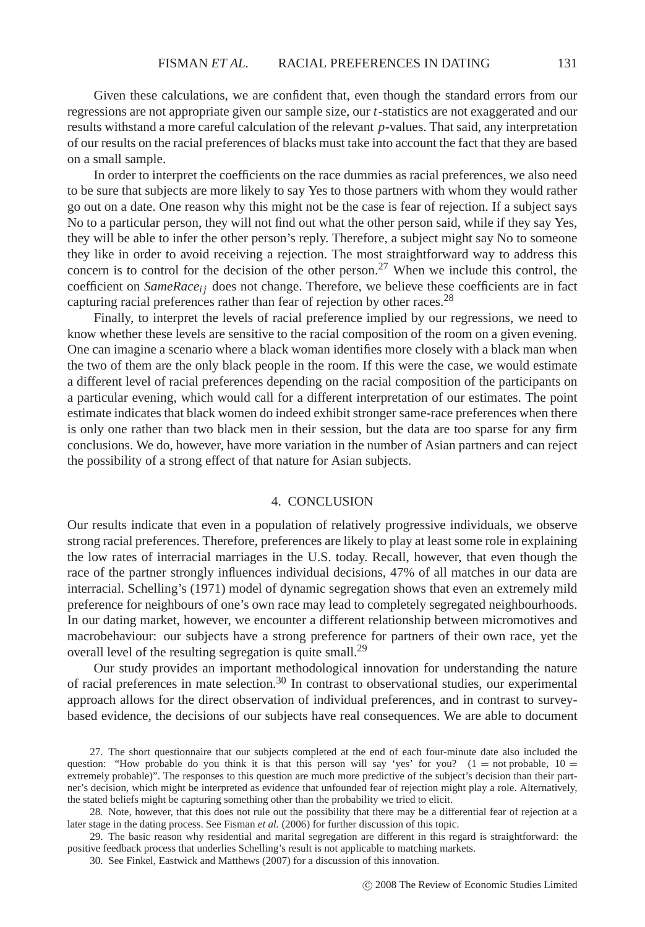Given these calculations, we are confident that, even though the standard errors from our regressions are not appropriate given our sample size, our *t*-statistics are not exaggerated and our results withstand a more careful calculation of the relevant *p*-values. That said, any interpretation of our results on the racial preferences of blacks must take into account the fact that they are based on a small sample.

In order to interpret the coefficients on the race dummies as racial preferences, we also need to be sure that subjects are more likely to say Yes to those partners with whom they would rather go out on a date. One reason why this might not be the case is fear of rejection. If a subject says No to a particular person, they will not find out what the other person said, while if they say Yes, they will be able to infer the other person's reply. Therefore, a subject might say No to someone they like in order to avoid receiving a rejection. The most straightforward way to address this concern is to control for the decision of the other person.<sup>27</sup> When we include this control, the coefficient on *SameRacei j* does not change. Therefore, we believe these coefficients are in fact capturing racial preferences rather than fear of rejection by other races.<sup>28</sup>

Finally, to interpret the levels of racial preference implied by our regressions, we need to know whether these levels are sensitive to the racial composition of the room on a given evening. One can imagine a scenario where a black woman identifies more closely with a black man when the two of them are the only black people in the room. If this were the case, we would estimate a different level of racial preferences depending on the racial composition of the participants on a particular evening, which would call for a different interpretation of our estimates. The point estimate indicates that black women do indeed exhibit stronger same-race preferences when there is only one rather than two black men in their session, but the data are too sparse for any firm conclusions. We do, however, have more variation in the number of Asian partners and can reject the possibility of a strong effect of that nature for Asian subjects.

#### 4. CONCLUSION

Our results indicate that even in a population of relatively progressive individuals, we observe strong racial preferences. Therefore, preferences are likely to play at least some role in explaining the low rates of interracial marriages in the U.S. today. Recall, however, that even though the race of the partner strongly influences individual decisions, 47% of all matches in our data are interracial. Schelling's (1971) model of dynamic segregation shows that even an extremely mild preference for neighbours of one's own race may lead to completely segregated neighbourhoods. In our dating market, however, we encounter a different relationship between micromotives and macrobehaviour: our subjects have a strong preference for partners of their own race, yet the overall level of the resulting segregation is quite small.<sup>29</sup>

Our study provides an important methodological innovation for understanding the nature of racial preferences in mate selection.30 In contrast to observational studies, our experimental approach allows for the direct observation of individual preferences, and in contrast to surveybased evidence, the decisions of our subjects have real consequences. We are able to document

<sup>27.</sup> The short questionnaire that our subjects completed at the end of each four-minute date also included the question: "How probable do you think it is that this person will say 'yes' for you? ( $1 =$  not probable,  $10 =$ extremely probable)". The responses to this question are much more predictive of the subject's decision than their partner's decision, which might be interpreted as evidence that unfounded fear of rejection might play a role. Alternatively, the stated beliefs might be capturing something other than the probability we tried to elicit.

<sup>28.</sup> Note, however, that this does not rule out the possibility that there may be a differential fear of rejection at a later stage in the dating process. See Fisman *et al.* (2006) for further discussion of this topic.

<sup>29.</sup> The basic reason why residential and marital segregation are different in this regard is straightforward: the positive feedback process that underlies Schelling's result is not applicable to matching markets.

<sup>30.</sup> See Finkel, Eastwick and Matthews (2007) for a discussion of this innovation.